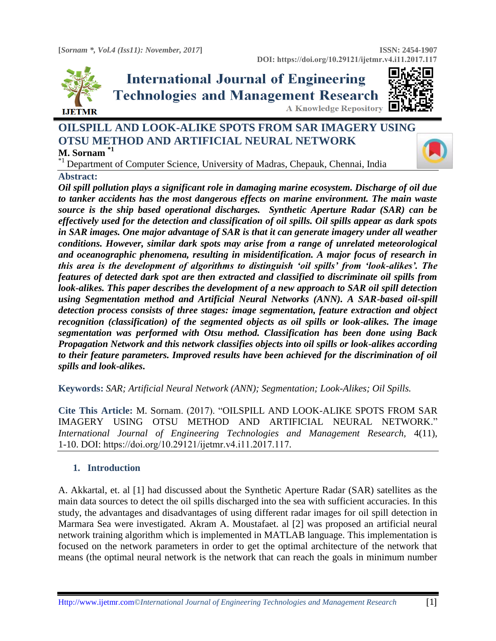

# **International Journal of Engineering Technologies and Management Research A Knowledge Repository**



# **OILSPILL AND LOOK-ALIKE SPOTS FROM SAR IMAGERY USING OTSU METHOD AND ARTIFICIAL NEURAL NETWORK**

# **M. Sornam \*1**

<sup>\*1</sup> Department of Computer Science, University of Madras, Chepauk, Chennai, India

#### **Abstract:**

*Oil spill pollution plays a significant role in damaging marine ecosystem. Discharge of oil due to tanker accidents has the most dangerous effects on marine environment. The main waste source is the ship based operational discharges. Synthetic Aperture Radar (SAR) can be effectively used for the detection and classification of oil spills. Oil spills appear as dark spots in SAR images. One major advantage of SAR is that it can generate imagery under all weather conditions. However, similar dark spots may arise from a range of unrelated meteorological and oceanographic phenomena, resulting in misidentification. A major focus of research in this area is the development of algorithms to distinguish 'oil spills' from 'look-alikes'. The features of detected dark spot are then extracted and classified to discriminate oil spills from look-alikes. This paper describes the development of a new approach to SAR oil spill detection using Segmentation method and Artificial Neural Networks (ANN). A SAR-based oil-spill detection process consists of three stages: image segmentation, feature extraction and object recognition (classification) of the segmented objects as oil spills or look-alikes. The image segmentation was performed with Otsu method. Classification has been done using Back Propagation Network and this network classifies objects into oil spills or look-alikes according to their feature parameters. Improved results have been achieved for the discrimination of oil spills and look-alikes***.**

**Keywords:** *SAR; Artificial Neural Network (ANN); Segmentation; Look-Alikes; Oil Spills.* 

**Cite This Article:** M. Sornam. (2017). "OILSPILL AND LOOK-ALIKE SPOTS FROM SAR IMAGERY USING OTSU METHOD AND ARTIFICIAL NEURAL NETWORK." *International Journal of Engineering Technologies and Management Research,* 4(11), 1-10. DOI: https://doi.org/10.29121/ijetmr.v4.i11.2017.117.

### **1. Introduction**

A. Akkartal, et. al [1] had discussed about the Synthetic Aperture Radar (SAR) satellites as the main data sources to detect the oil spills discharged into the sea with sufficient accuracies. In this study, the advantages and disadvantages of using different radar images for oil spill detection in Marmara Sea were investigated. Akram A. Moustafaet. al [2] was proposed an artificial neural network training algorithm which is implemented in MATLAB language. This implementation is focused on the network parameters in order to get the optimal architecture of the network that means (the optimal neural network is the network that can reach the goals in minimum number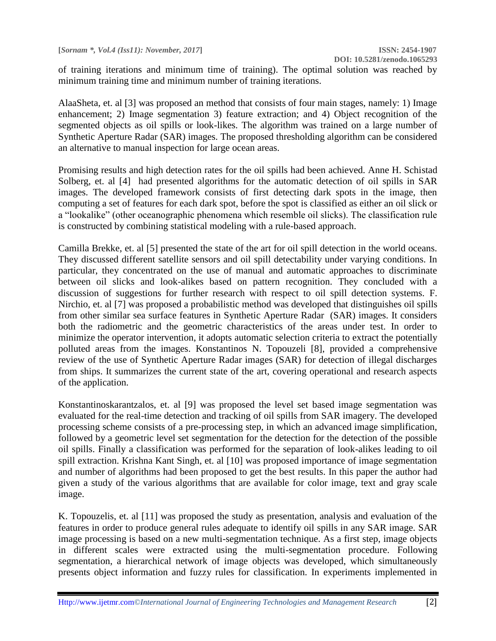of training iterations and minimum time of training). The optimal solution was reached by minimum training time and minimum number of training iterations.

AlaaSheta, et. al [3] was proposed an method that consists of four main stages, namely: 1) Image enhancement; 2) Image segmentation 3) feature extraction; and 4) Object recognition of the segmented objects as oil spills or look-likes. The algorithm was trained on a large number of Synthetic Aperture Radar (SAR) images. The proposed thresholding algorithm can be considered an alternative to manual inspection for large ocean areas.

Promising results and high detection rates for the oil spills had been achieved. Anne H. Schistad Solberg, et. al [4] had presented algorithms for the automatic detection of oil spills in SAR images. The developed framework consists of first detecting dark spots in the image, then computing a set of features for each dark spot, before the spot is classified as either an oil slick or a "lookalike" (other oceanographic phenomena which resemble oil slicks). The classification rule is constructed by combining statistical modeling with a rule-based approach.

Camilla Brekke, et. al [5] presented the state of the art for oil spill detection in the world oceans. They discussed different satellite sensors and oil spill detectability under varying conditions. In particular, they concentrated on the use of manual and automatic approaches to discriminate between oil slicks and look-alikes based on pattern recognition. They concluded with a discussion of suggestions for further research with respect to oil spill detection systems. F. Nirchio, et. al [7] was proposed a probabilistic method was developed that distinguishes oil spills from other similar sea surface features in Synthetic Aperture Radar (SAR) images. It considers both the radiometric and the geometric characteristics of the areas under test. In order to minimize the operator intervention, it adopts automatic selection criteria to extract the potentially polluted areas from the images. Konstantinos N. Topouzeli [8], provided a comprehensive review of the use of Synthetic Aperture Radar images (SAR) for detection of illegal discharges from ships. It summarizes the current state of the art, covering operational and research aspects of the application.

Konstantinoskarantzalos, et. al [9] was proposed the level set based image segmentation was evaluated for the real-time detection and tracking of oil spills from SAR imagery. The developed processing scheme consists of a pre-processing step, in which an advanced image simplification, followed by a geometric level set segmentation for the detection for the detection of the possible oil spills. Finally a classification was performed for the separation of look-alikes leading to oil spill extraction. Krishna Kant Singh, et. al [10] was proposed importance of image segmentation and number of algorithms had been proposed to get the best results. In this paper the author had given a study of the various algorithms that are available for color image, text and gray scale image.

K. Topouzelis, et. al [11] was proposed the study as presentation, analysis and evaluation of the features in order to produce general rules adequate to identify oil spills in any SAR image. SAR image processing is based on a new multi-segmentation technique. As a first step, image objects in different scales were extracted using the multi-segmentation procedure. Following segmentation, a hierarchical network of image objects was developed, which simultaneously presents object information and fuzzy rules for classification. In experiments implemented in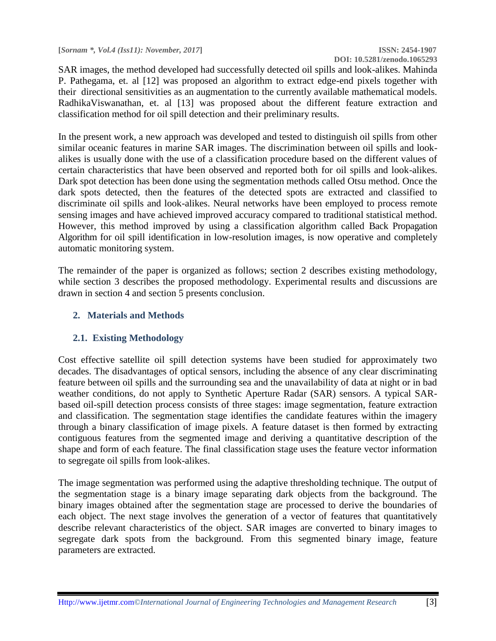# **DOI: 10.5281/zenodo.1065293**

SAR images, the method developed had successfully detected oil spills and look-alikes. Mahinda P. Pathegama, et. al [12] was proposed an algorithm to extract edge-end pixels together with their directional sensitivities as an augmentation to the currently available mathematical models. RadhikaViswanathan, et. al [13] was proposed about the different feature extraction and classification method for oil spill detection and their preliminary results.

In the present work, a new approach was developed and tested to distinguish oil spills from other similar oceanic features in marine SAR images. The discrimination between oil spills and lookalikes is usually done with the use of a classification procedure based on the different values of certain characteristics that have been observed and reported both for oil spills and look-alikes. Dark spot detection has been done using the segmentation methods called Otsu method. Once the dark spots detected, then the features of the detected spots are extracted and classified to discriminate oil spills and look-alikes. Neural networks have been employed to process remote sensing images and have achieved improved accuracy compared to traditional statistical method. However, this method improved by using a classification algorithm called Back Propagation Algorithm for oil spill identification in low-resolution images, is now operative and completely automatic monitoring system.

The remainder of the paper is organized as follows; section 2 describes existing methodology, while section 3 describes the proposed methodology. Experimental results and discussions are drawn in section 4 and section 5 presents conclusion.

#### **2. Materials and Methods**

### **2.1. Existing Methodology**

Cost effective satellite oil spill detection systems have been studied for approximately two decades. The disadvantages of optical sensors, including the absence of any clear discriminating feature between oil spills and the surrounding sea and the unavailability of data at night or in bad weather conditions, do not apply to Synthetic Aperture Radar (SAR) sensors. A typical SARbased oil-spill detection process consists of three stages: image segmentation, feature extraction and classification. The segmentation stage identifies the candidate features within the imagery through a binary classification of image pixels. A feature dataset is then formed by extracting contiguous features from the segmented image and deriving a quantitative description of the shape and form of each feature. The final classification stage uses the feature vector information to segregate oil spills from look-alikes.

The image segmentation was performed using the adaptive thresholding technique. The output of the segmentation stage is a binary image separating dark objects from the background. The binary images obtained after the segmentation stage are processed to derive the boundaries of each object. The next stage involves the generation of a vector of features that quantitatively describe relevant characteristics of the object. SAR images are converted to binary images to segregate dark spots from the background. From this segmented binary image, feature parameters are extracted.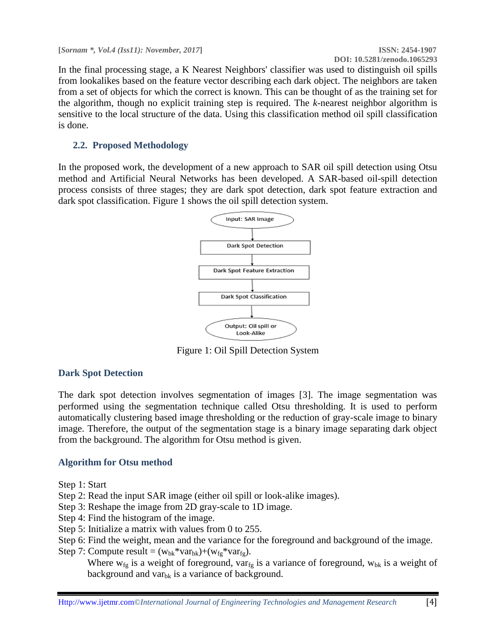In the final processing stage, a K Nearest Neighbors' classifier was used to distinguish oil spills from lookalikes based on the feature vector describing each dark object. The neighbors are taken from a set of objects for which the correct is known. This can be thought of as the training set for the algorithm, though no explicit training step is required. The *k*-nearest neighbor algorithm is sensitive to the local structure of the data. Using this classification method oil spill classification is done.

# **2.2. Proposed Methodology**

In the proposed work, the development of a new approach to SAR oil spill detection using Otsu method and Artificial Neural Networks has been developed. A SAR-based oil-spill detection process consists of three stages; they are dark spot detection, dark spot feature extraction and dark spot classification. Figure 1 shows the oil spill detection system.



Figure 1: Oil Spill Detection System

### **Dark Spot Detection**

The dark spot detection involves segmentation of images [3]. The image segmentation was performed using the segmentation technique called Otsu thresholding. It is used to perform automatically clustering based image thresholding or the reduction of gray-scale image to binary image. Therefore, the output of the segmentation stage is a binary image separating dark object from the background. The algorithm for Otsu method is given.

### **Algorithm for Otsu method**

Step 1: Start

- Step 2: Read the input SAR image (either oil spill or look-alike images).
- Step 3: Reshape the image from 2D gray-scale to 1D image.
- Step 4: Find the histogram of the image.
- Step 5: Initialize a matrix with values from 0 to 255.
- Step 6: Find the weight, mean and the variance for the foreground and background of the image.
- Step 7: Compute result =  $(w_{bk} * var_{bk}) + (w_{fe} * var_{fe})$ .

Where  $w_{fg}$  is a weight of foreground, var $_{fg}$  is a variance of foreground,  $w_{bk}$  is a weight of background and var $_{\text{bk}}$  is a variance of background.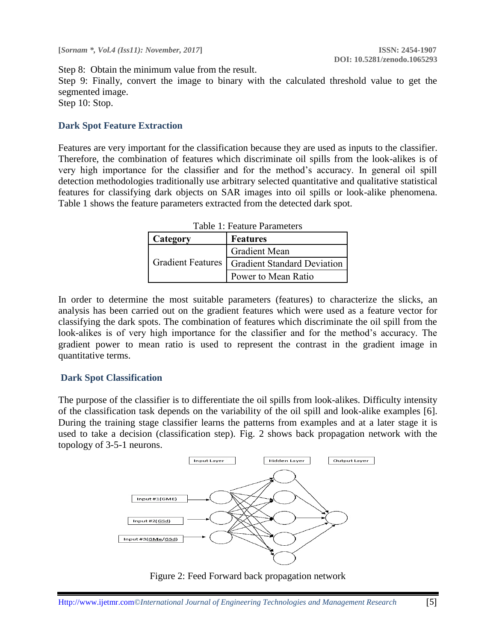Step 8: Obtain the minimum value from the result. Step 9: Finally, convert the image to binary with the calculated threshold value to get the segmented image. Step 10: Stop.

#### **Dark Spot Feature Extraction**

Features are very important for the classification because they are used as inputs to the classifier. Therefore, the combination of features which discriminate oil spills from the look-alikes is of very high importance for the classifier and for the method's accuracy. In general oil spill detection methodologies traditionally use arbitrary selected quantitative and qualitative statistical features for classifying dark objects on SAR images into oil spills or look-alike phenomena. Table 1 shows the feature parameters extracted from the detected dark spot.

| Category                 | <b>Features</b>             |  |  |
|--------------------------|-----------------------------|--|--|
| <b>Gradient Features</b> | <b>Gradient Mean</b>        |  |  |
|                          | Gradient Standard Deviation |  |  |
|                          | Power to Mean Ratio         |  |  |

Table 1: Feature Parameters

In order to determine the most suitable parameters (features) to characterize the slicks, an analysis has been carried out on the gradient features which were used as a feature vector for classifying the dark spots. The combination of features which discriminate the oil spill from the look-alikes is of very high importance for the classifier and for the method's accuracy. The gradient power to mean ratio is used to represent the contrast in the gradient image in quantitative terms.

#### **Dark Spot Classification**

The purpose of the classifier is to differentiate the oil spills from look-alikes. Difficulty intensity of the classification task depends on the variability of the oil spill and look-alike examples [6]. During the training stage classifier learns the patterns from examples and at a later stage it is used to take a decision (classification step). Fig. 2 shows back propagation network with the topology of 3-5-1 neurons.



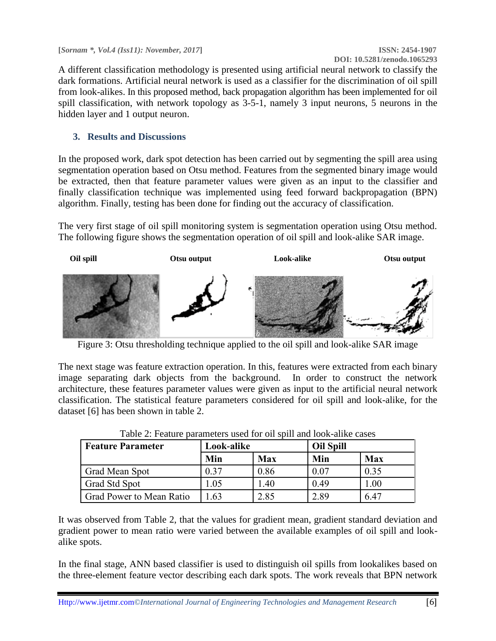A different classification methodology is presented using artificial neural network to classify the dark formations. Artificial neural network is used as a classifier for the discrimination of oil spill from look-alikes. In this proposed method, back propagation algorithm has been implemented for oil spill classification, with network topology as 3-5-1, namely 3 input neurons, 5 neurons in the hidden layer and 1 output neuron.

# **3. Results and Discussions**

In the proposed work, dark spot detection has been carried out by segmenting the spill area using segmentation operation based on Otsu method. Features from the segmented binary image would be extracted, then that feature parameter values were given as an input to the classifier and finally classification technique was implemented using feed forward backpropagation (BPN) algorithm. Finally, testing has been done for finding out the accuracy of classification.

The very first stage of oil spill monitoring system is segmentation operation using Otsu method. The following figure shows the segmentation operation of oil spill and look-alike SAR image.



Figure 3: Otsu thresholding technique applied to the oil spill and look-alike SAR image

The next stage was feature extraction operation. In this, features were extracted from each binary image separating dark objects from the background. In order to construct the network architecture, these features parameter values were given as input to the artificial neural network classification. The statistical feature parameters considered for oil spill and look-alike, for the dataset [6] has been shown in table 2.

| <b>Feature Parameter</b> | Look-alike |            | <b>Oil Spill</b> |            |
|--------------------------|------------|------------|------------------|------------|
|                          | Min        | <b>Max</b> | Min              | <b>Max</b> |
| Grad Mean Spot           | 0.37       | 0.86       | 0.07             | 0.35       |
| Grad Std Spot            | .05        | .40        | 0.49             | $1.00\,$   |
| Grad Power to Mean Ratio | 63         | 2.85       | 2.89             | 6.47       |

Table  $2<sup>i</sup>$  Feature parameters used for oil spill and look-alike cases

It was observed from Table 2, that the values for gradient mean, gradient standard deviation and gradient power to mean ratio were varied between the available examples of oil spill and lookalike spots.

In the final stage, ANN based classifier is used to distinguish oil spills from lookalikes based on the three-element feature vector describing each dark spots. The work reveals that BPN network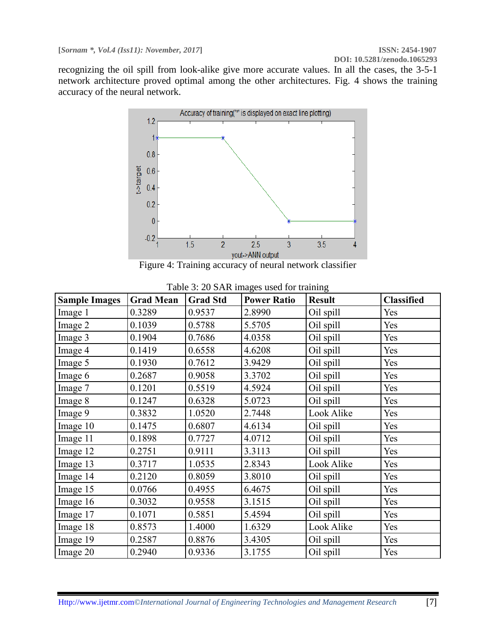**DOI: 10.5281/zenodo.1065293**

recognizing the oil spill from look-alike give more accurate values. In all the cases, the 3-5-1 network architecture proved optimal among the other architectures. Fig. 4 shows the training accuracy of the neural network.



Figure 4: Training accuracy of neural network classifier

| <b>Sample Images</b> | <b>Grad Mean</b> | <b>Grad Std</b> | <b>Power Ratio</b> | <b>Result</b> | <b>Classified</b> |
|----------------------|------------------|-----------------|--------------------|---------------|-------------------|
| Image 1              | 0.3289           | 0.9537          | 2.8990             | Oil spill     | Yes               |
| Image 2              | 0.1039           | 0.5788          | 5.5705             | Oil spill     | Yes               |
| Image 3              | 0.1904           | 0.7686          | 4.0358             | Oil spill     | Yes               |
| Image 4              | 0.1419           | 0.6558          | 4.6208             | Oil spill     | Yes               |
| Image 5              | 0.1930           | 0.7612          | 3.9429             | Oil spill     | Yes               |
| Image 6              | 0.2687           | 0.9058          | 3.3702             | Oil spill     | Yes               |
| Image 7              | 0.1201           | 0.5519          | 4.5924             | Oil spill     | Yes               |
| Image 8              | 0.1247           | 0.6328          | 5.0723             | Oil spill     | Yes               |
| Image 9              | 0.3832           | 1.0520          | 2.7448             | Look Alike    | Yes               |
| Image 10             | 0.1475           | 0.6807          | 4.6134             | Oil spill     | Yes               |
| Image 11             | 0.1898           | 0.7727          | 4.0712             | Oil spill     | Yes               |
| Image 12             | 0.2751           | 0.9111          | 3.3113             | Oil spill     | Yes               |
| Image 13             | 0.3717           | 1.0535          | 2.8343             | Look Alike    | Yes               |
| Image 14             | 0.2120           | 0.8059          | 3.8010             | Oil spill     | Yes               |
| Image 15             | 0.0766           | 0.4955          | 6.4675             | Oil spill     | Yes               |
| Image 16             | 0.3032           | 0.9558          | 3.1515             | Oil spill     | Yes               |
| Image 17             | 0.1071           | 0.5851          | 5.4594             | Oil spill     | Yes               |
| Image 18             | 0.8573           | 1.4000          | 1.6329             | Look Alike    | Yes               |
| Image 19             | 0.2587           | 0.8876          | 3.4305             | Oil spill     | Yes               |
| Image 20             | 0.2940           | 0.9336          | 3.1755             | Oil spill     | Yes               |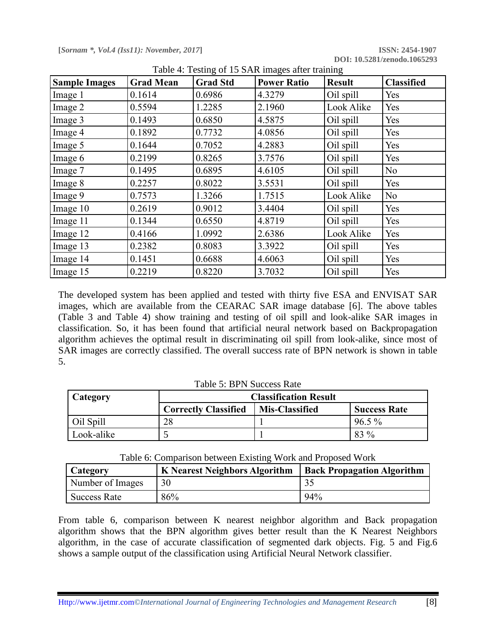| <b>Sample Images</b> | <b>Grad Mean</b> | <b>Grad Std</b> | $\frac{1}{2}$<br><b>Power Ratio</b> | <b>Result</b> | <b>Classified</b> |
|----------------------|------------------|-----------------|-------------------------------------|---------------|-------------------|
| Image 1              | 0.1614           | 0.6986          | 4.3279                              | Oil spill     | Yes               |
| Image 2              | 0.5594           | 1.2285          | 2.1960                              | Look Alike    | Yes               |
| Image 3              | 0.1493           | 0.6850          | 4.5875                              | Oil spill     | Yes               |
| Image 4              | 0.1892           | 0.7732          | 4.0856                              | Oil spill     | Yes               |
| Image 5              | 0.1644           | 0.7052          | 4.2883                              | Oil spill     | Yes               |
| Image 6              | 0.2199           | 0.8265          | 3.7576                              | Oil spill     | Yes               |
| Image 7              | 0.1495           | 0.6895          | 4.6105                              | Oil spill     | N <sub>o</sub>    |
| Image 8              | 0.2257           | 0.8022          | 3.5531                              | Oil spill     | Yes               |
| Image 9              | 0.7573           | 1.3266          | 1.7515                              | Look Alike    | No                |
| Image 10             | 0.2619           | 0.9012          | 3.4404                              | Oil spill     | Yes               |
| Image 11             | 0.1344           | 0.6550          | 4.8719                              | Oil spill     | Yes               |
| Image 12             | 0.4166           | 1.0992          | 2.6386                              | Look Alike    | Yes               |
| Image 13             | 0.2382           | 0.8083          | 3.3922                              | Oil spill     | Yes               |
| Image 14             | 0.1451           | 0.6688          | 4.6063                              | Oil spill     | Yes               |
| Image 15             | 0.2219           | 0.8220          | 3.7032                              | Oil spill     | Yes               |

Table 4: Testing of 15 SAR images after training

The developed system has been applied and tested with thirty five ESA and ENVISAT SAR images, which are available from the CEARAC SAR image database [6]. The above tables (Table 3 and Table 4) show training and testing of oil spill and look-alike SAR images in classification. So, it has been found that artificial neural network based on Backpropagation algorithm achieves the optimal result in discriminating oil spill from look-alike, since most of SAR images are correctly classified. The overall success rate of BPN network is shown in table 5.

| <b>Table 5: BPN Success Rate</b> |  |  |  |
|----------------------------------|--|--|--|
|----------------------------------|--|--|--|

| Category   | <b>Classification Result</b> |                       |                     |
|------------|------------------------------|-----------------------|---------------------|
|            | <b>Correctly Classified</b>  | <b>Mis-Classified</b> | <b>Success Rate</b> |
| Oil Spill  | 28                           |                       | $96.5\%$            |
| Look-alike |                              |                       | 83 %                |

| Table 6: Comparison between Existing Work and Proposed Work |  |  |  |
|-------------------------------------------------------------|--|--|--|
|                                                             |  |  |  |
|                                                             |  |  |  |

| Category         | <b>K</b> Nearest Neighbors Algorithm | <b>Back Propagation Algorithm</b> |
|------------------|--------------------------------------|-----------------------------------|
| Number of Images | 30                                   |                                   |
| Success Rate     | 86%                                  | 94%                               |

From table 6, comparison between K nearest neighbor algorithm and Back propagation algorithm shows that the BPN algorithm gives better result than the K Nearest Neighbors algorithm, in the case of accurate classification of segmented dark objects. Fig. 5 and Fig.6 shows a sample output of the classification using Artificial Neural Network classifier.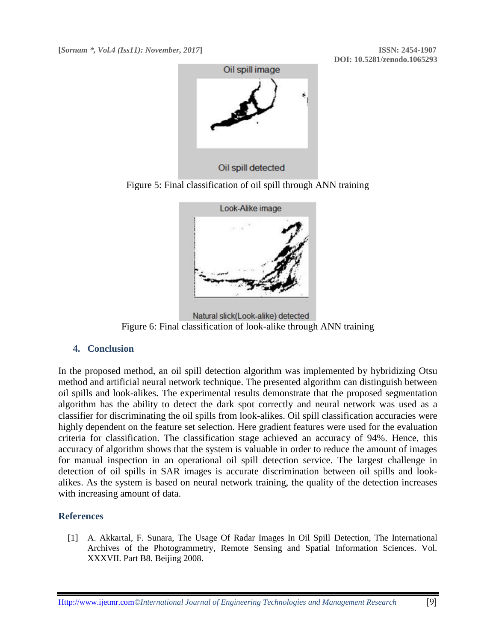

Figure 5: Final classification of oil spill through ANN training



Natural slick(Look-alike) detected Figure 6: Final classification of look-alike through ANN training

### **4. Conclusion**

In the proposed method, an oil spill detection algorithm was implemented by hybridizing Otsu method and artificial neural network technique. The presented algorithm can distinguish between oil spills and look-alikes. The experimental results demonstrate that the proposed segmentation algorithm has the ability to detect the dark spot correctly and neural network was used as a classifier for discriminating the oil spills from look-alikes. Oil spill classification accuracies were highly dependent on the feature set selection. Here gradient features were used for the evaluation criteria for classification. The classification stage achieved an accuracy of 94%. Hence, this accuracy of algorithm shows that the system is valuable in order to reduce the amount of images for manual inspection in an operational oil spill detection service. The largest challenge in detection of oil spills in SAR images is accurate discrimination between oil spills and lookalikes. As the system is based on neural network training, the quality of the detection increases with increasing amount of data.

### **References**

[1] A. Akkartal, F. Sunara, The Usage Of Radar Images In Oil Spill Detection, The International Archives of the Photogrammetry, Remote Sensing and Spatial Information Sciences. Vol. XXXVII. Part B8. Beijing 2008.